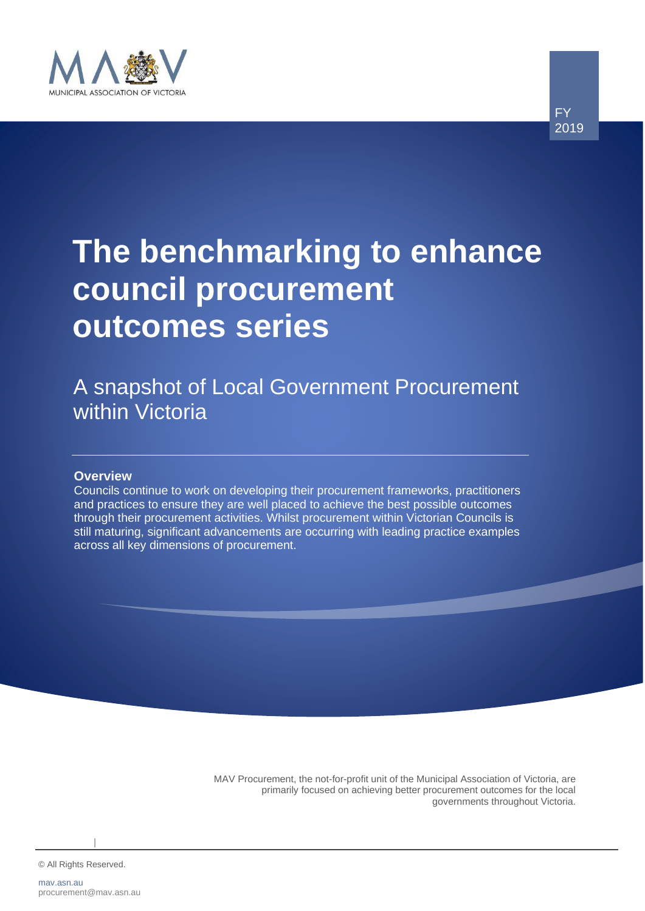

# **The benchmarking to enhance council procurement outcomes series**

FY 2019

A snapshot of Local Government Procurement within Victoria

#### **Overview**

Councils continue to work on developing their procurement frameworks, practitioners and practices to ensure they are well placed to achieve the best possible outcomes through their procurement activities. Whilst procurement within Victorian Councils is still maturing, significant advancements are occurring with leading practice examples across all key dimensions of procurement.

> MAV Procurement, the not-for-profit unit of the Municipal Association of Victoria, are primarily focused on achieving better procurement outcomes for the local governments throughout Victoria.

© All Rights Reserved. 0

|| || || ||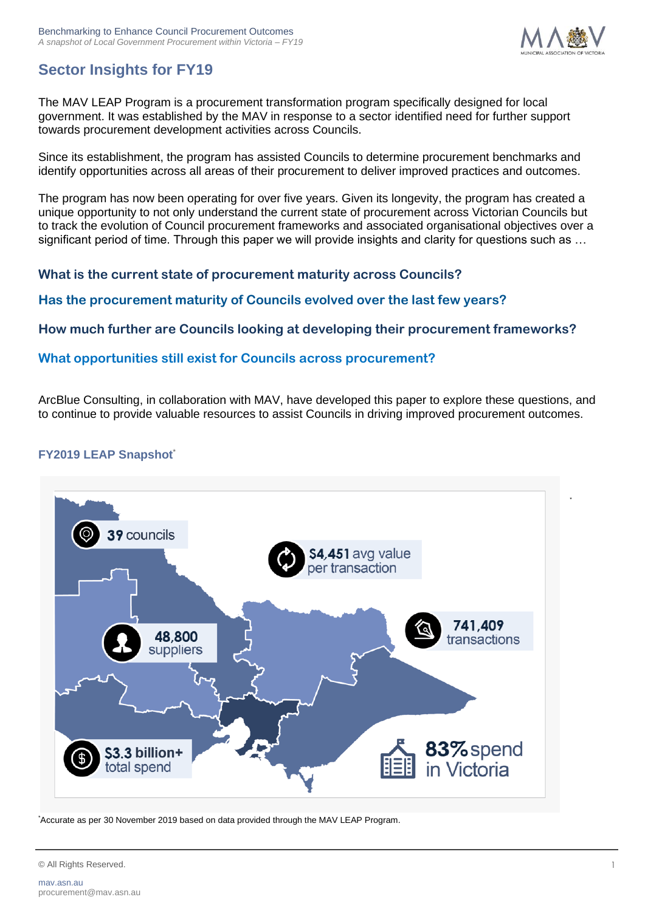

\*

# **Sector Insights for FY19**

The MAV LEAP Program is a procurement transformation program specifically designed for local government. It was established by the MAV in response to a sector identified need for further support towards procurement development activities across Councils.

Since its establishment, the program has assisted Councils to determine procurement benchmarks and identify opportunities across all areas of their procurement to deliver improved practices and outcomes.

The program has now been operating for over five years. Given its longevity, the program has created a unique opportunity to not only understand the current state of procurement across Victorian Councils but to track the evolution of Council procurement frameworks and associated organisational objectives over a significant period of time. Through this paper we will provide insights and clarity for questions such as …

**What is the current state of procurement maturity across Councils?**

**Has the procurement maturity of Councils evolved over the last few years?**

**How much further are Councils looking at developing their procurement frameworks?**

#### **What opportunities still exist for Councils across procurement?**

ArcBlue Consulting, in collaboration with MAV, have developed this paper to explore these questions, and to continue to provide valuable resources to assist Councils in driving improved procurement outcomes.

## **FY2019 LEAP Snapshot**\*



\*Accurate as per 30 November 2019 based on data provided through the MAV LEAP Program.

© All Rights Reserved. 1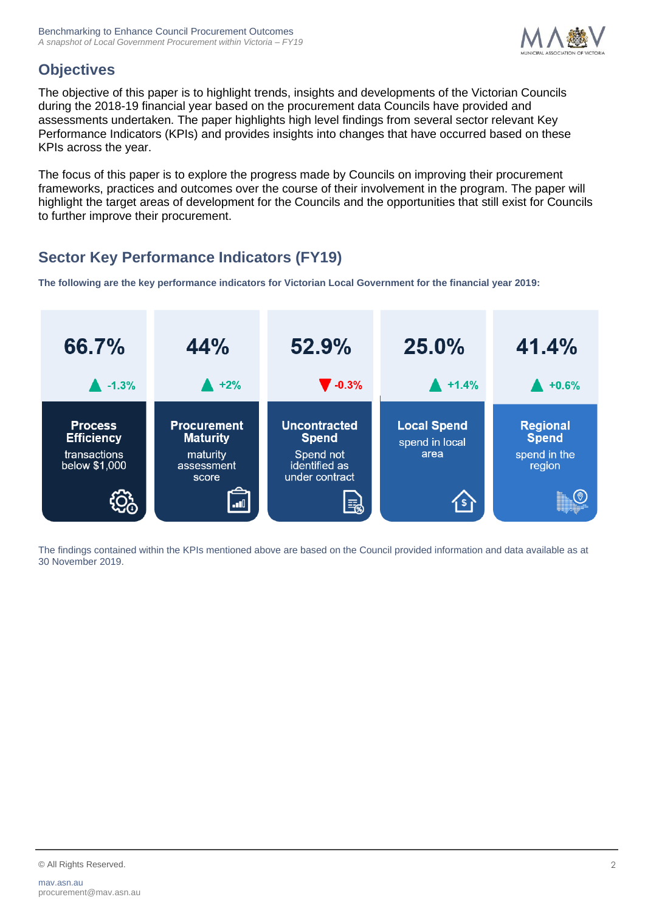

# **Objectives**

The objective of this paper is to highlight trends, insights and developments of the Victorian Councils during the 2018-19 financial year based on the procurement data Councils have provided and assessments undertaken. The paper highlights high level findings from several sector relevant Key Performance Indicators (KPIs) and provides insights into changes that have occurred based on these KPIs across the year.

The focus of this paper is to explore the progress made by Councils on improving their procurement frameworks, practices and outcomes over the course of their involvement in the program. The paper will highlight the target areas of development for the Councils and the opportunities that still exist for Councils to further improve their procurement.

# **Sector Key Performance Indicators (FY19)**

**The following are the key performance indicators for Victorian Local Government for the financial year 2019:**



The findings contained within the KPIs mentioned above are based on the Council provided information and data available as at 30 November 2019.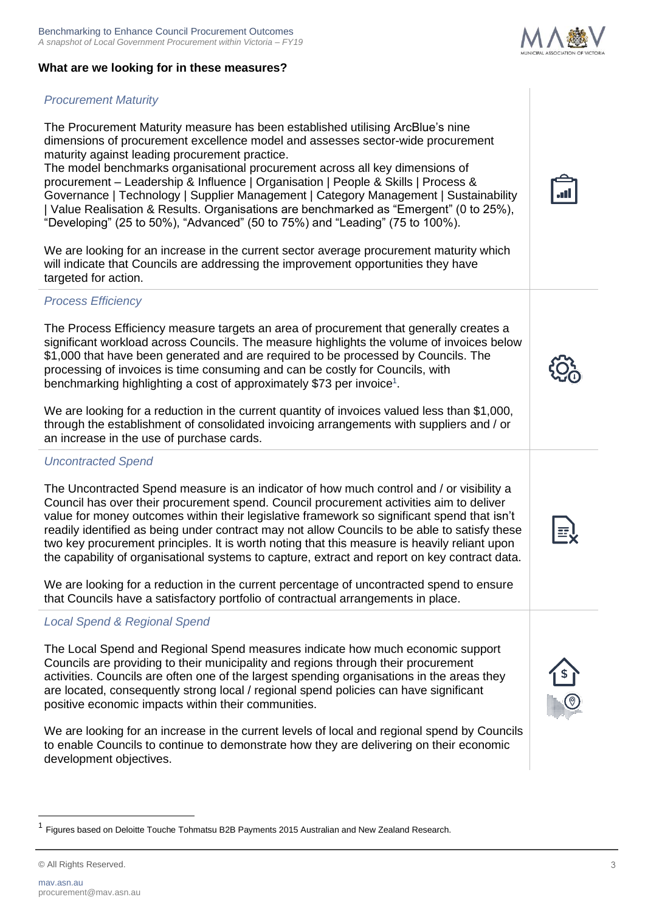# **What are we looking for in these measures?**

# *Procurement Maturity*

The Procurement Maturity measure has been established utilising ArcBlue's nine dimensions of procurement excellence model and assesses sector-wide procurement maturity against leading procurement practice.

The model benchmarks organisational procurement across all key dimensions of procurement – Leadership & Influence | Organisation | People & Skills | Process & Governance | Technology | Supplier Management | Category Management | Sustainability | Value Realisation & Results. Organisations are benchmarked as "Emergent" (0 to 25%), "Developing" (25 to 50%), "Advanced" (50 to 75%) and "Leading" (75 to 100%).

We are looking for an increase in the current sector average procurement maturity which will indicate that Councils are addressing the improvement opportunities they have targeted for action.

# *Process Efficiency*

The Process Efficiency measure targets an area of procurement that generally creates a significant workload across Councils. The measure highlights the volume of invoices below \$1,000 that have been generated and are required to be processed by Councils. The processing of invoices is time consuming and can be costly for Councils, with benchmarking highlighting a cost of approximately \$73 per invoice<sup>1</sup>.

We are looking for a reduction in the current quantity of invoices valued less than \$1,000. through the establishment of consolidated invoicing arrangements with suppliers and / or an increase in the use of purchase cards.

# *Uncontracted Spend*

The Uncontracted Spend measure is an indicator of how much control and / or visibility a Council has over their procurement spend. Council procurement activities aim to deliver value for money outcomes within their legislative framework so significant spend that isn't readily identified as being under contract may not allow Councils to be able to satisfy these two key procurement principles. It is worth noting that this measure is heavily reliant upon the capability of organisational systems to capture, extract and report on key contract data.

We are looking for a reduction in the current percentage of uncontracted spend to ensure that Councils have a satisfactory portfolio of contractual arrangements in place.

# *Local Spend & Regional Spend*

The Local Spend and Regional Spend measures indicate how much economic support Councils are providing to their municipality and regions through their procurement activities. Councils are often one of the largest spending organisations in the areas they are located, consequently strong local / regional spend policies can have significant positive economic impacts within their communities.

We are looking for an increase in the current levels of local and regional spend by Councils to enable Councils to continue to demonstrate how they are delivering on their economic development objectives.









<sup>1</sup> Figures based on Deloitte Touche Tohmatsu B2B Payments 2015 Australian and New Zealand Research.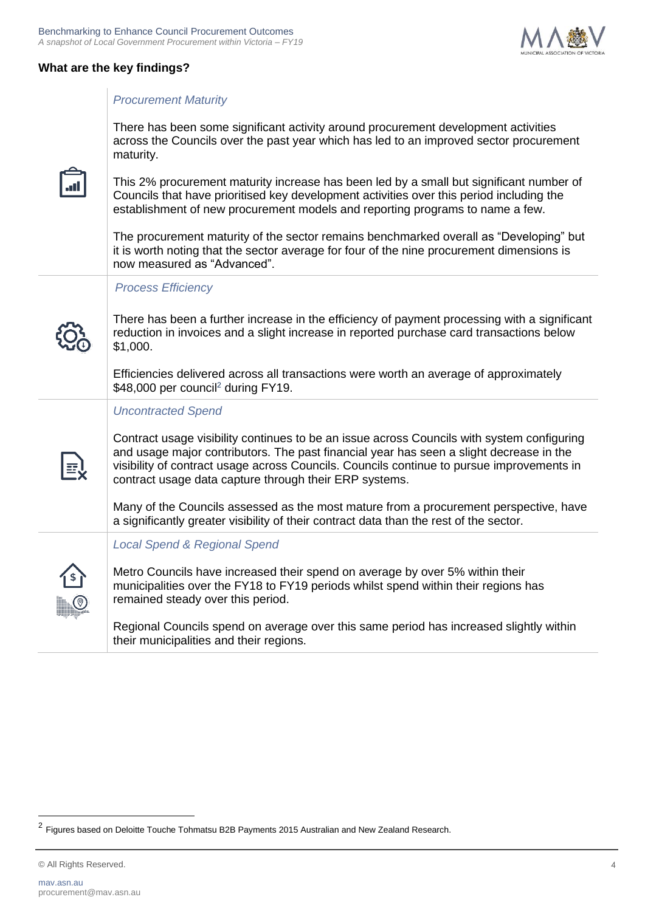

. al



#### *Procurement Maturity*

There has been some significant activity around procurement development activities across the Councils over the past year which has led to an improved sector procurement maturity.

This 2% procurement maturity increase has been led by a small but significant number of Councils that have prioritised key development activities over this period including the establishment of new procurement models and reporting programs to name a few.

The procurement maturity of the sector remains benchmarked overall as "Developing" but it is worth noting that the sector average for four of the nine procurement dimensions is

| now measured as "Advanced".                                                                                                                                                                                                                                                                                                                                                                                                                                                                                                                                  |
|--------------------------------------------------------------------------------------------------------------------------------------------------------------------------------------------------------------------------------------------------------------------------------------------------------------------------------------------------------------------------------------------------------------------------------------------------------------------------------------------------------------------------------------------------------------|
| <b>Process Efficiency</b><br>There has been a further increase in the efficiency of payment processing with a significant<br>reduction in invoices and a slight increase in reported purchase card transactions below<br>\$1,000.<br>Efficiencies delivered across all transactions were worth an average of approximately<br>\$48,000 per council <sup>2</sup> during FY19.                                                                                                                                                                                 |
| <b>Uncontracted Spend</b><br>Contract usage visibility continues to be an issue across Councils with system configuring<br>and usage major contributors. The past financial year has seen a slight decrease in the<br>visibility of contract usage across Councils. Councils continue to pursue improvements in<br>contract usage data capture through their ERP systems.<br>Many of the Councils assessed as the most mature from a procurement perspective, have<br>a significantly greater visibility of their contract data than the rest of the sector. |
| <b>Local Spend &amp; Regional Spend</b><br>Metro Councils have increased their spend on average by over 5% within their<br>municipalities over the FY18 to FY19 periods whilst spend within their regions has<br>remained steady over this period.<br>Regional Councils spend on average over this same period has increased slightly within<br>their municipalities and their regions.                                                                                                                                                                      |

© All Rights Reserved. 4

<sup>&</sup>lt;sup>2</sup> Figures based on Deloitte Touche Tohmatsu B2B Payments 2015 Australian and New Zealand Research.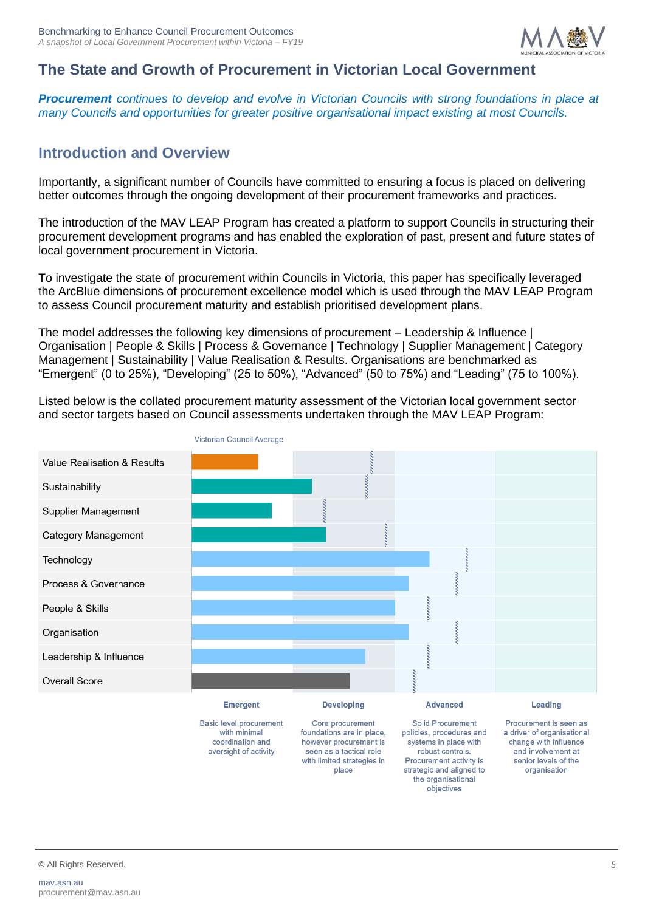

# **The State and Growth of Procurement in Victorian Local Government**

*Procurement continues to develop and evolve in Victorian Councils with strong foundations in place at many Councils and opportunities for greater positive organisational impact existing at most Councils.*

# **Introduction and Overview**

Importantly, a significant number of Councils have committed to ensuring a focus is placed on delivering better outcomes through the ongoing development of their procurement frameworks and practices.

The introduction of the MAV LEAP Program has created a platform to support Councils in structuring their procurement development programs and has enabled the exploration of past, present and future states of local government procurement in Victoria.

To investigate the state of procurement within Councils in Victoria, this paper has specifically leveraged the ArcBlue dimensions of procurement excellence model which is used through the MAV LEAP Program to assess Council procurement maturity and establish prioritised development plans.

The model addresses the following key dimensions of procurement – Leadership & Influence | Organisation | People & Skills | Process & Governance | Technology | Supplier Management | Category Management | Sustainability | Value Realisation & Results. Organisations are benchmarked as "Emergent" (0 to 25%), "Developing" (25 to 50%), "Advanced" (50 to 75%) and "Leading" (75 to 100%).

Listed below is the collated procurement maturity assessment of the Victorian local government sector and sector targets based on Council assessments undertaken through the MAV LEAP Program:



with limited strategies in

place

Procurement activity is

strategic and aligned to

the organisational objectives

senior levels of the

organisation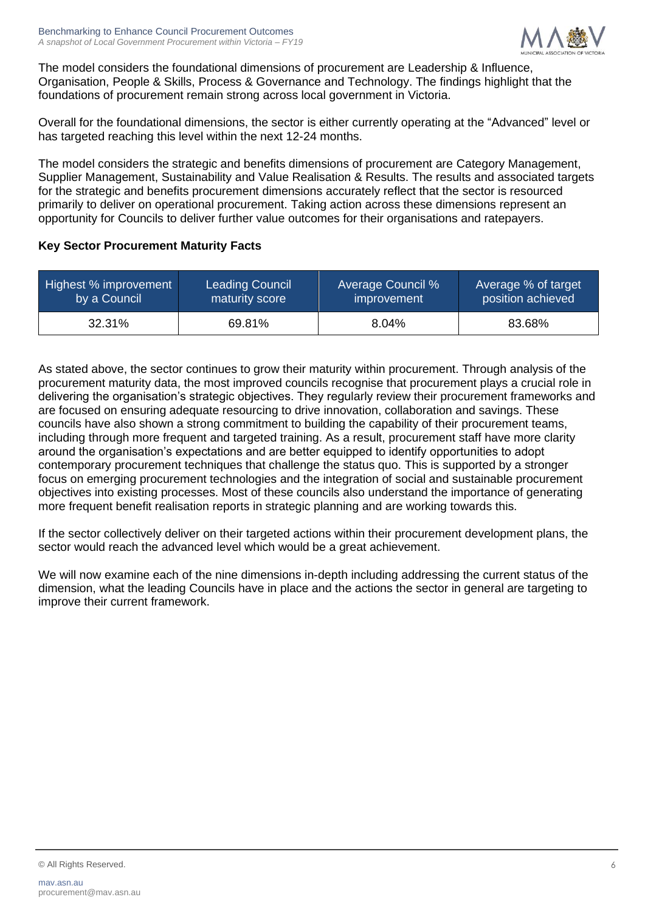

The model considers the foundational dimensions of procurement are Leadership & Influence, Organisation, People & Skills, Process & Governance and Technology. The findings highlight that the foundations of procurement remain strong across local government in Victoria.

Overall for the foundational dimensions, the sector is either currently operating at the "Advanced" level or has targeted reaching this level within the next 12-24 months.

The model considers the strategic and benefits dimensions of procurement are Category Management, Supplier Management, Sustainability and Value Realisation & Results. The results and associated targets for the strategic and benefits procurement dimensions accurately reflect that the sector is resourced primarily to deliver on operational procurement. Taking action across these dimensions represent an opportunity for Councils to deliver further value outcomes for their organisations and ratepayers.

#### **Key Sector Procurement Maturity Facts**

| Highest % improvement | <b>Leading Council</b> | <b>Average Council %</b> | Average % of target |
|-----------------------|------------------------|--------------------------|---------------------|
| by a Council          | maturity score         | improvement              | position achieved   |
| 32.31%                | 69.81%                 | 8.04%                    | 83.68%              |

As stated above, the sector continues to grow their maturity within procurement. Through analysis of the procurement maturity data, the most improved councils recognise that procurement plays a crucial role in delivering the organisation's strategic objectives. They regularly review their procurement frameworks and are focused on ensuring adequate resourcing to drive innovation, collaboration and savings. These councils have also shown a strong commitment to building the capability of their procurement teams, including through more frequent and targeted training. As a result, procurement staff have more clarity around the organisation's expectations and are better equipped to identify opportunities to adopt contemporary procurement techniques that challenge the status quo. This is supported by a stronger focus on emerging procurement technologies and the integration of social and sustainable procurement objectives into existing processes. Most of these councils also understand the importance of generating more frequent benefit realisation reports in strategic planning and are working towards this.

If the sector collectively deliver on their targeted actions within their procurement development plans, the sector would reach the advanced level which would be a great achievement.

We will now examine each of the nine dimensions in-depth including addressing the current status of the dimension, what the leading Councils have in place and the actions the sector in general are targeting to improve their current framework.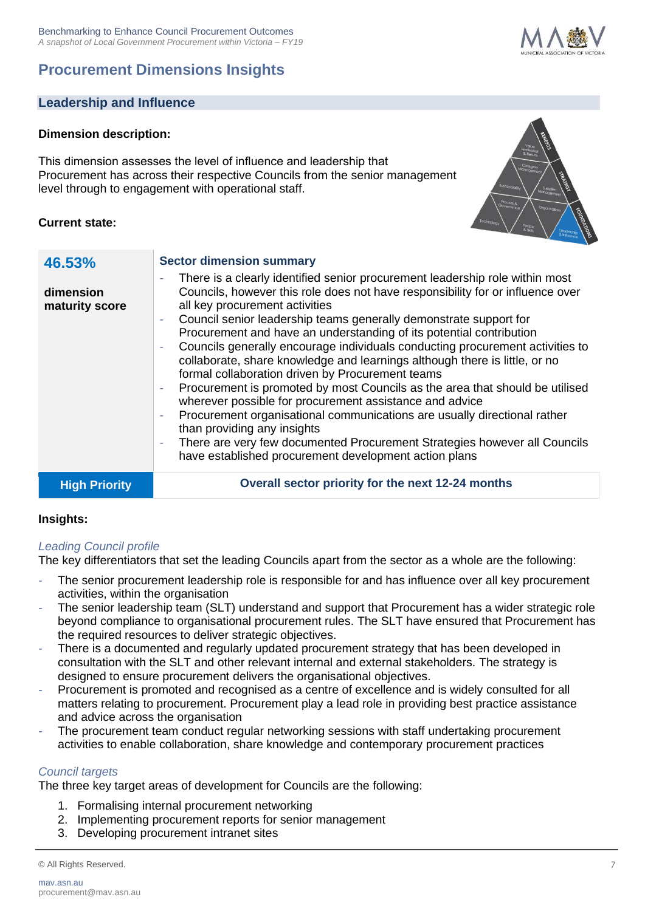# **Procurement Dimensions Insights**



# **Dimension description:**

This dimension assesses the level of influence and leadership that Procurement has across their respective Councils from the senior management level through to engagement with operational staff.

#### **Current state:**

**46.53%** 

**dimension maturity score**



- *-* Councils generally encourage individuals conducting procurement activities to collaborate, share knowledge and learnings although there is little, or no formal collaboration driven by Procurement teams
- *-* Procurement is promoted by most Councils as the area that should be utilised wherever possible for procurement assistance and advice
- *-* Procurement organisational communications are usually directional rather than providing any insights
- *-* There are very few documented Procurement Strategies however all Councils have established procurement development action plans

**High Priority Overall sector priority for the next 12-24 months**

#### **Insights:**

## *Leading Council profile*

The key differentiators that set the leading Councils apart from the sector as a whole are the following:

- *-* The senior procurement leadership role is responsible for and has influence over all key procurement activities, within the organisation
- *-* The senior leadership team (SLT) understand and support that Procurement has a wider strategic role beyond compliance to organisational procurement rules. The SLT have ensured that Procurement has the required resources to deliver strategic objectives.
- *-* There is a documented and regularly updated procurement strategy that has been developed in consultation with the SLT and other relevant internal and external stakeholders. The strategy is designed to ensure procurement delivers the organisational objectives.
- Procurement is promoted and recognised as a centre of excellence and is widely consulted for all matters relating to procurement. Procurement play a lead role in providing best practice assistance and advice across the organisation
- *-* The procurement team conduct regular networking sessions with staff undertaking procurement activities to enable collaboration, share knowledge and contemporary procurement practices

#### *Council targets*

The three key target areas of development for Councils are the following:

- 1. Formalising internal procurement networking
- 2. Implementing procurement reports for senior management
- 3. Developing procurement intranet sites

© All Rights Reserved. 7

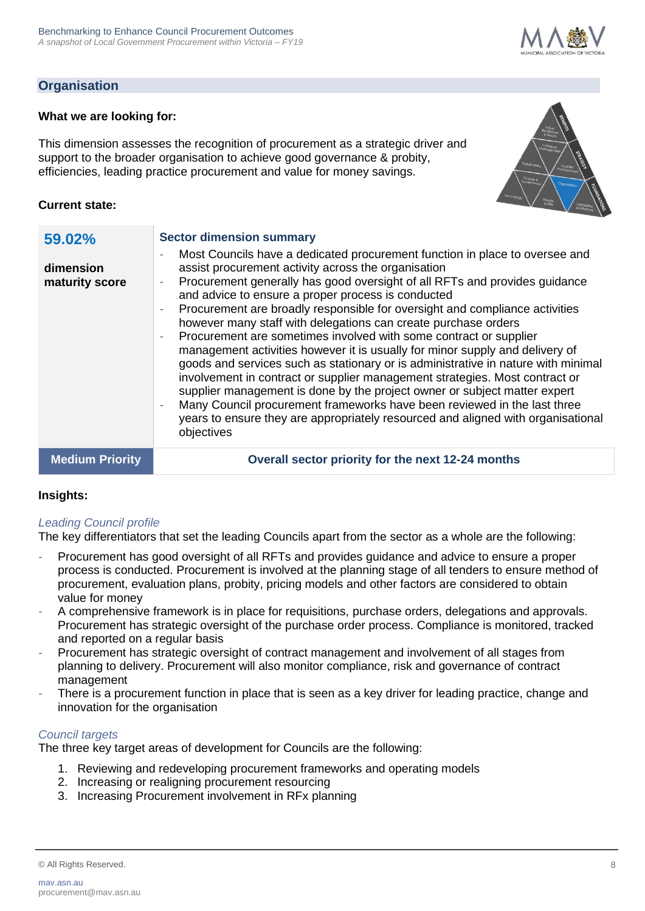## **Organisation**

#### **What we are looking for:**

This dimension assesses the recognition of procurement as a strategic driver and support to the broader organisation to achieve good governance & probity, efficiencies, leading practice procurement and value for money savings.



#### **Current state:**

| 59.02%<br>dimension<br>maturity score | <b>Sector dimension summary</b><br>Most Councils have a dedicated procurement function in place to oversee and<br>assist procurement activity across the organisation<br>Procurement generally has good oversight of all RFTs and provides guidance<br>and advice to ensure a proper process is conducted<br>Procurement are broadly responsible for oversight and compliance activities<br>however many staff with delegations can create purchase orders<br>Procurement are sometimes involved with some contract or supplier<br>management activities however it is usually for minor supply and delivery of<br>goods and services such as stationary or is administrative in nature with minimal<br>involvement in contract or supplier management strategies. Most contract or<br>supplier management is done by the project owner or subject matter expert<br>Many Council procurement frameworks have been reviewed in the last three<br>years to ensure they are appropriately resourced and aligned with organisational<br>objectives |
|---------------------------------------|------------------------------------------------------------------------------------------------------------------------------------------------------------------------------------------------------------------------------------------------------------------------------------------------------------------------------------------------------------------------------------------------------------------------------------------------------------------------------------------------------------------------------------------------------------------------------------------------------------------------------------------------------------------------------------------------------------------------------------------------------------------------------------------------------------------------------------------------------------------------------------------------------------------------------------------------------------------------------------------------------------------------------------------------|
| <b>Medium Priority</b>                | Overall sector priority for the next 12-24 months                                                                                                                                                                                                                                                                                                                                                                                                                                                                                                                                                                                                                                                                                                                                                                                                                                                                                                                                                                                              |

#### **Insights:**

#### *Leading Council profile*

The key differentiators that set the leading Councils apart from the sector as a whole are the following:

- *-* Procurement has good oversight of all RFTs and provides guidance and advice to ensure a proper process is conducted. Procurement is involved at the planning stage of all tenders to ensure method of procurement, evaluation plans, probity, pricing models and other factors are considered to obtain value for money
- *-* A comprehensive framework is in place for requisitions, purchase orders, delegations and approvals. Procurement has strategic oversight of the purchase order process. Compliance is monitored, tracked and reported on a regular basis
- *-* Procurement has strategic oversight of contract management and involvement of all stages from planning to delivery. Procurement will also monitor compliance, risk and governance of contract management
- *-* There is a procurement function in place that is seen as a key driver for leading practice, change and innovation for the organisation

#### *Council targets*

- 1. Reviewing and redeveloping procurement frameworks and operating models
- 2. Increasing or realigning procurement resourcing
- 3. Increasing Procurement involvement in RFx planning

<sup>©</sup> All Rights Reserved. 8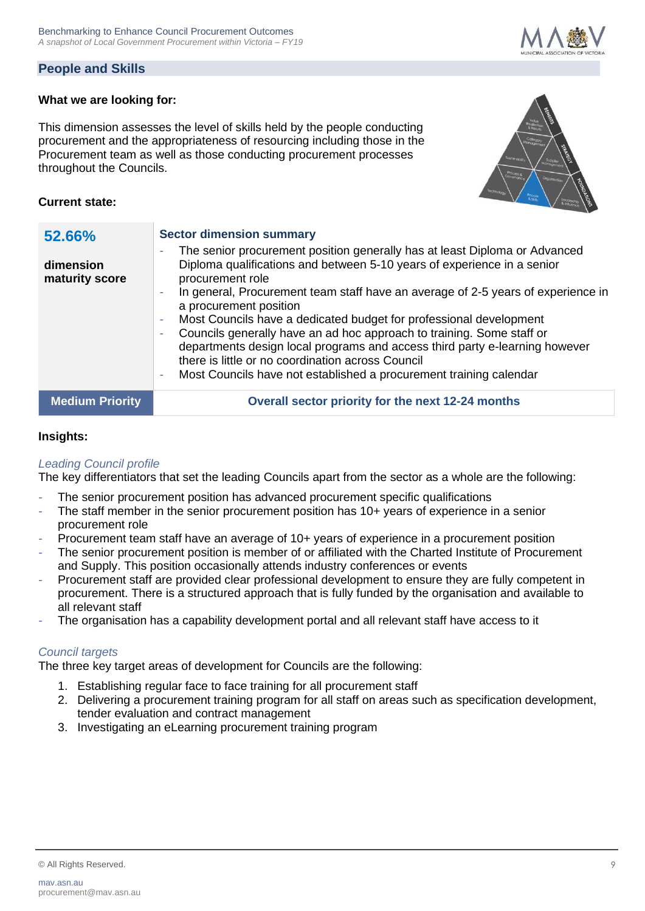## **People and Skills**

#### **What we are looking for:**

This dimension assesses the level of skills held by the people conducting procurement and the appropriateness of resourcing including those in the Procurement team as well as those conducting procurement processes throughout the Councils.



#### **Current state:**

| 52.66%<br>dimension<br>maturity score | <b>Sector dimension summary</b><br>The senior procurement position generally has at least Diploma or Advanced<br>۰<br>Diploma qualifications and between 5-10 years of experience in a senior<br>procurement role<br>In general, Procurement team staff have an average of 2-5 years of experience in<br>÷<br>a procurement position<br>Most Councils have a dedicated budget for professional development<br>۰<br>Councils generally have an ad hoc approach to training. Some staff or<br>-<br>departments design local programs and access third party e-learning however<br>there is little or no coordination across Council<br>Most Councils have not established a procurement training calendar<br>$\overline{\phantom{a}}$ |
|---------------------------------------|-------------------------------------------------------------------------------------------------------------------------------------------------------------------------------------------------------------------------------------------------------------------------------------------------------------------------------------------------------------------------------------------------------------------------------------------------------------------------------------------------------------------------------------------------------------------------------------------------------------------------------------------------------------------------------------------------------------------------------------|
| <b>Medium Priority</b>                | Overall sector priority for the next 12-24 months                                                                                                                                                                                                                                                                                                                                                                                                                                                                                                                                                                                                                                                                                   |

#### **Insights:**

#### *Leading Council profile*

The key differentiators that set the leading Councils apart from the sector as a whole are the following:

- *-* The senior procurement position has advanced procurement specific qualifications
- *-* The staff member in the senior procurement position has 10+ years of experience in a senior procurement role
- Procurement team staff have an average of 10+ years of experience in a procurement position
- *-* The senior procurement position is member of or affiliated with the Charted Institute of Procurement and Supply. This position occasionally attends industry conferences or events
- *-* Procurement staff are provided clear professional development to ensure they are fully competent in procurement. There is a structured approach that is fully funded by the organisation and available to all relevant staff
- *-* The organisation has a capability development portal and all relevant staff have access to it

#### *Council targets*

- 1. Establishing regular face to face training for all procurement staff
- 2. Delivering a procurement training program for all staff on areas such as specification development, tender evaluation and contract management
- 3. Investigating an eLearning procurement training program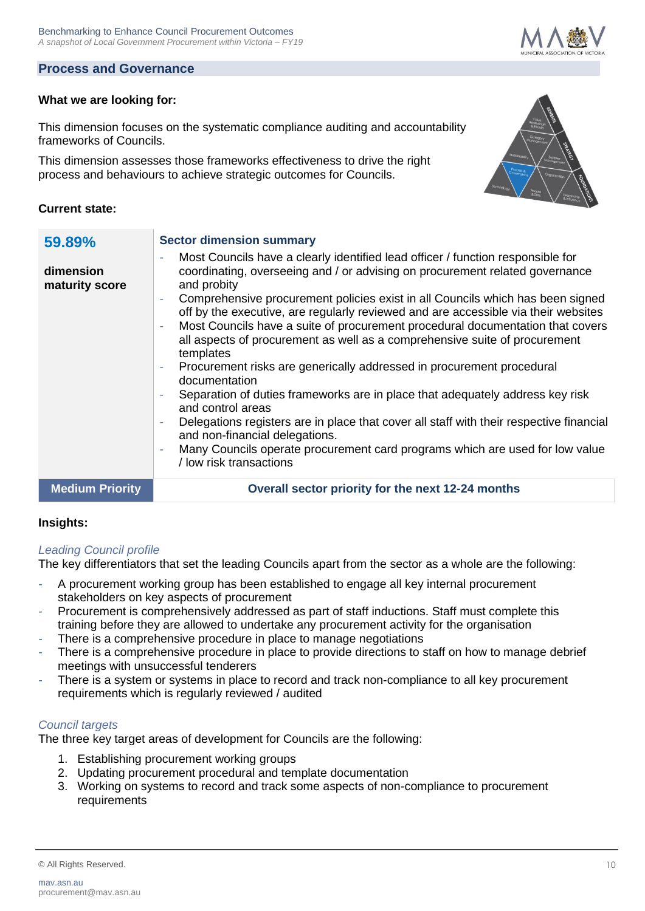#### **Process and Governance**

#### **What we are looking for:**

This dimension focuses on the systematic compliance auditing and accountability frameworks of Councils.

This dimension assesses those frameworks effectiveness to drive the right process and behaviours to achieve strategic outcomes for Councils.

#### **Current state:**

| 59.89%<br>dimension<br>maturity score | <b>Sector dimension summary</b><br>Most Councils have a clearly identified lead officer / function responsible for<br>٠<br>coordinating, overseeing and / or advising on procurement related governance<br>and probity<br>Comprehensive procurement policies exist in all Councils which has been signed<br>off by the executive, are regularly reviewed and are accessible via their websites<br>Most Councils have a suite of procurement procedural documentation that covers<br>$\sim$<br>all aspects of procurement as well as a comprehensive suite of procurement<br>templates<br>Procurement risks are generically addressed in procurement procedural<br>documentation<br>Separation of duties frameworks are in place that adequately address key risk<br>and control areas<br>Delegations registers are in place that cover all staff with their respective financial<br>and non-financial delegations.<br>Many Councils operate procurement card programs which are used for low value<br>/ low risk transactions |
|---------------------------------------|-------------------------------------------------------------------------------------------------------------------------------------------------------------------------------------------------------------------------------------------------------------------------------------------------------------------------------------------------------------------------------------------------------------------------------------------------------------------------------------------------------------------------------------------------------------------------------------------------------------------------------------------------------------------------------------------------------------------------------------------------------------------------------------------------------------------------------------------------------------------------------------------------------------------------------------------------------------------------------------------------------------------------------|
| <b>Medium Priority</b>                | Overall sector priority for the next 12-24 months                                                                                                                                                                                                                                                                                                                                                                                                                                                                                                                                                                                                                                                                                                                                                                                                                                                                                                                                                                             |

#### **Insights:**

#### *Leading Council profile*

The key differentiators that set the leading Councils apart from the sector as a whole are the following:

- *-* A procurement working group has been established to engage all key internal procurement stakeholders on key aspects of procurement
- *-* Procurement is comprehensively addressed as part of staff inductions. Staff must complete this training before they are allowed to undertake any procurement activity for the organisation
- There is a comprehensive procedure in place to manage negotiations
- *-* There is a comprehensive procedure in place to provide directions to staff on how to manage debrief meetings with unsuccessful tenderers
- *-* There is a system or systems in place to record and track non-compliance to all key procurement requirements which is regularly reviewed / audited

#### *Council targets*

- 1. Establishing procurement working groups
- 2. Updating procurement procedural and template documentation
- 3. Working on systems to record and track some aspects of non-compliance to procurement requirements





<sup>©</sup> All Rights Reserved. 10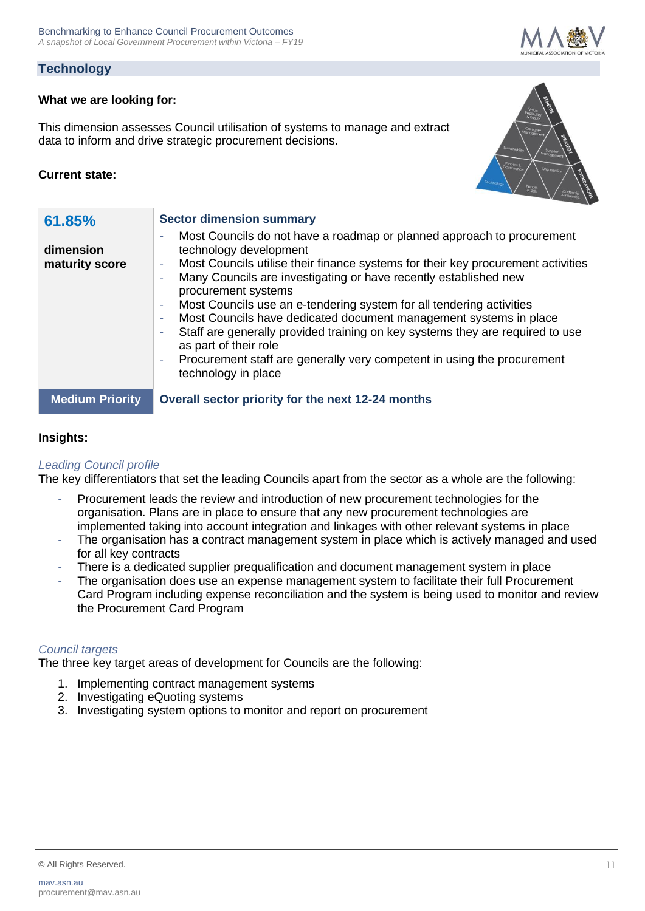## **Technology**

#### **What we are looking for:**

This dimension assesses Council utilisation of systems to manage and extract data to inform and drive strategic procurement decisions.

#### **Current state:**



#### **Insights:**

#### *Leading Council profile*

The key differentiators that set the leading Councils apart from the sector as a whole are the following:

- Procurement leads the review and introduction of new procurement technologies for the organisation. Plans are in place to ensure that any new procurement technologies are implemented taking into account integration and linkages with other relevant systems in place
- *-* The organisation has a contract management system in place which is actively managed and used for all key contracts
- *-* There is a dedicated supplier prequalification and document management system in place
- *-* The organisation does use an expense management system to facilitate their full Procurement Card Program including expense reconciliation and the system is being used to monitor and review the Procurement Card Program

#### *Council targets*

- 1. Implementing contract management systems
- 2. Investigating eQuoting systems
- 3. Investigating system options to monitor and report on procurement



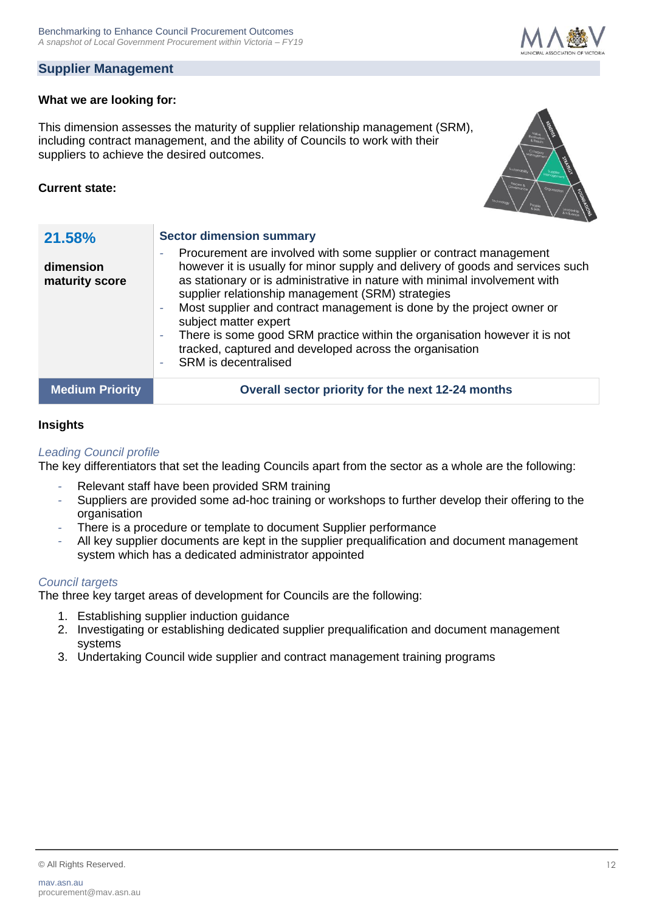## **Supplier Management**

#### **What we are looking for:**

This dimension assesses the maturity of supplier relationship management (SRM), including contract management, and the ability of Councils to work with their suppliers to achieve the desired outcomes.

#### **Current state:**

| 21.58%<br>dimension<br>maturity score | <b>Sector dimension summary</b><br>Procurement are involved with some supplier or contract management<br>٠<br>however it is usually for minor supply and delivery of goods and services such<br>as stationary or is administrative in nature with minimal involvement with<br>supplier relationship management (SRM) strategies<br>Most supplier and contract management is done by the project owner or<br>÷,<br>subject matter expert<br>There is some good SRM practice within the organisation however it is not<br>$\overline{\phantom{0}}$<br>tracked, captured and developed across the organisation<br><b>SRM</b> is decentralised<br>۰ |
|---------------------------------------|-------------------------------------------------------------------------------------------------------------------------------------------------------------------------------------------------------------------------------------------------------------------------------------------------------------------------------------------------------------------------------------------------------------------------------------------------------------------------------------------------------------------------------------------------------------------------------------------------------------------------------------------------|
| <b>Medium Priority</b>                | Overall sector priority for the next 12-24 months                                                                                                                                                                                                                                                                                                                                                                                                                                                                                                                                                                                               |

#### **Insights**

#### *Leading Council profile*

The key differentiators that set the leading Councils apart from the sector as a whole are the following:

- *-* Relevant staff have been provided SRM training
- *-* Suppliers are provided some ad-hoc training or workshops to further develop their offering to the organisation
- *-* There is a procedure or template to document Supplier performance
- *-* All key supplier documents are kept in the supplier prequalification and document management system which has a dedicated administrator appointed

#### *Council targets*

- 1. Establishing supplier induction guidance
- 2. Investigating or establishing dedicated supplier prequalification and document management systems
- 3. Undertaking Council wide supplier and contract management training programs



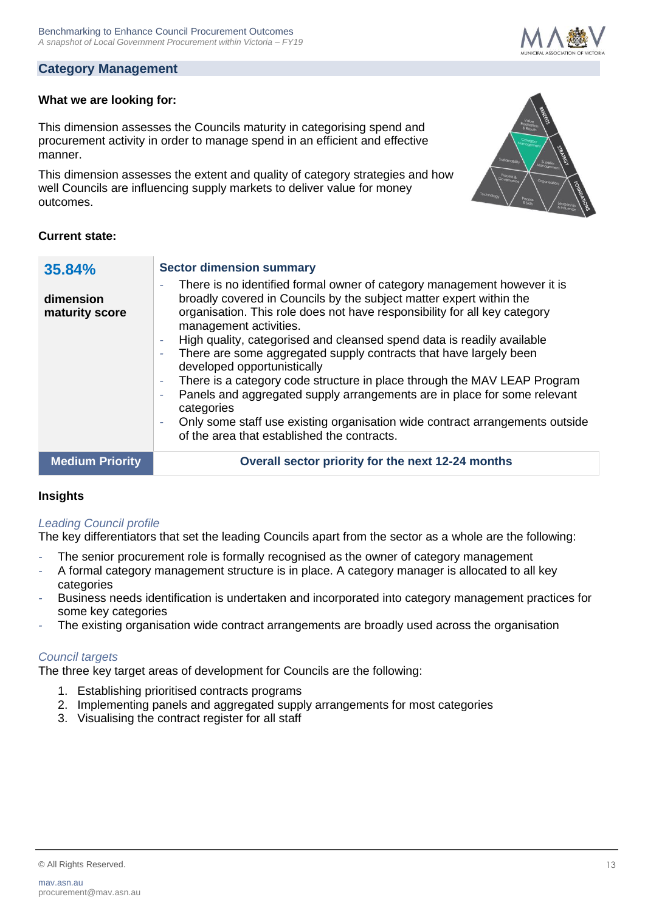#### **Category Management**

#### **What we are looking for:**

This dimension assesses the Councils maturity in categorising spend and procurement activity in order to manage spend in an efficient and effective manner.

This dimension assesses the extent and quality of category strategies and how well Councils are influencing supply markets to deliver value for money outcomes.



#### **Current state:**

| 35.84%                      | <b>Sector dimension summary</b>                                                                                                                                                                                                                                                                                                                                                                                                                                                                                                                                                                                                                                                                                                           |  |
|-----------------------------|-------------------------------------------------------------------------------------------------------------------------------------------------------------------------------------------------------------------------------------------------------------------------------------------------------------------------------------------------------------------------------------------------------------------------------------------------------------------------------------------------------------------------------------------------------------------------------------------------------------------------------------------------------------------------------------------------------------------------------------------|--|
| dimension<br>maturity score | There is no identified formal owner of category management however it is<br>broadly covered in Councils by the subject matter expert within the<br>organisation. This role does not have responsibility for all key category<br>management activities.<br>High quality, categorised and cleansed spend data is readily available<br>There are some aggregated supply contracts that have largely been<br>developed opportunistically<br>There is a category code structure in place through the MAV LEAP Program<br>Panels and aggregated supply arrangements are in place for some relevant<br>categories<br>Only some staff use existing organisation wide contract arrangements outside<br>of the area that established the contracts. |  |
| <b>Medium Priority</b>      | Overall sector priority for the next 12-24 months                                                                                                                                                                                                                                                                                                                                                                                                                                                                                                                                                                                                                                                                                         |  |
|                             |                                                                                                                                                                                                                                                                                                                                                                                                                                                                                                                                                                                                                                                                                                                                           |  |

#### **Insights**

#### *Leading Council profile*

The key differentiators that set the leading Councils apart from the sector as a whole are the following:

- The senior procurement role is formally recognised as the owner of category management
- *-* A formal category management structure is in place. A category manager is allocated to all key categories
- *-* Business needs identification is undertaken and incorporated into category management practices for some key categories
- *-* The existing organisation wide contract arrangements are broadly used across the organisation

#### *Council targets*

- 1. Establishing prioritised contracts programs
- 2. Implementing panels and aggregated supply arrangements for most categories
- 3. Visualising the contract register for all staff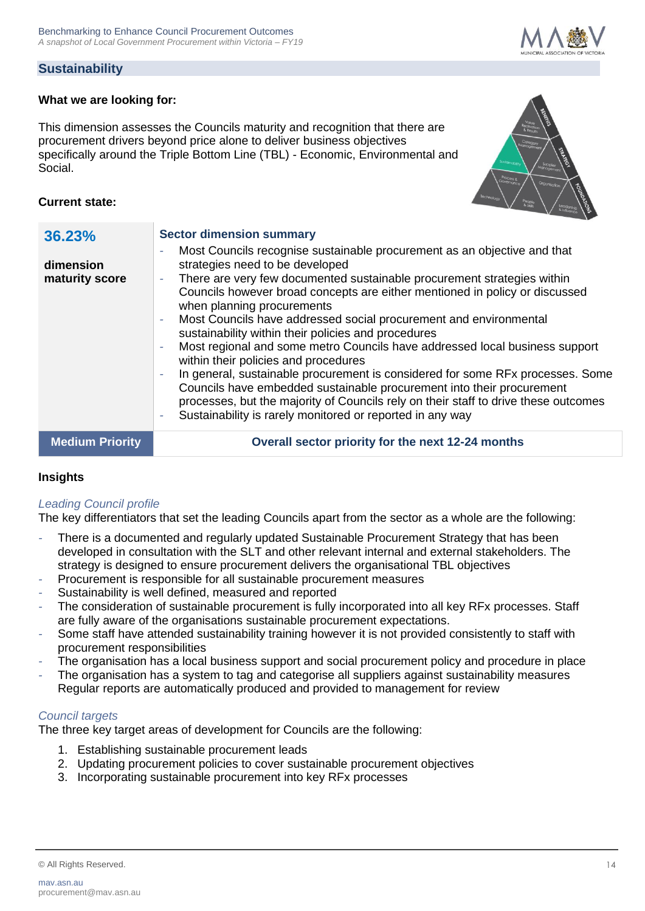# **Sustainability**

#### **What we are looking for:**

This dimension assesses the Councils maturity and recognition that there are procurement drivers beyond price alone to deliver business objectives specifically around the Triple Bottom Line (TBL) - Economic, Environmental and Social.



#### **Current state:**

| 36.23%<br>dimension<br>maturity score | <b>Sector dimension summary</b><br>Most Councils recognise sustainable procurement as an objective and that<br>$\overline{\phantom{a}}$<br>strategies need to be developed<br>There are very few documented sustainable procurement strategies within<br>Councils however broad concepts are either mentioned in policy or discussed<br>when planning procurements<br>Most Councils have addressed social procurement and environmental<br>$\sim$<br>sustainability within their policies and procedures<br>Most regional and some metro Councils have addressed local business support<br>$\overline{\phantom{a}}$<br>within their policies and procedures<br>In general, sustainable procurement is considered for some RFx processes. Some<br>Councils have embedded sustainable procurement into their procurement<br>processes, but the majority of Councils rely on their staff to drive these outcomes<br>Sustainability is rarely monitored or reported in any way |
|---------------------------------------|----------------------------------------------------------------------------------------------------------------------------------------------------------------------------------------------------------------------------------------------------------------------------------------------------------------------------------------------------------------------------------------------------------------------------------------------------------------------------------------------------------------------------------------------------------------------------------------------------------------------------------------------------------------------------------------------------------------------------------------------------------------------------------------------------------------------------------------------------------------------------------------------------------------------------------------------------------------------------|
| <b>Medium Priority</b>                | Overall sector priority for the next 12-24 months                                                                                                                                                                                                                                                                                                                                                                                                                                                                                                                                                                                                                                                                                                                                                                                                                                                                                                                          |
|                                       |                                                                                                                                                                                                                                                                                                                                                                                                                                                                                                                                                                                                                                                                                                                                                                                                                                                                                                                                                                            |

#### **Insights**

#### *Leading Council profile*

The key differentiators that set the leading Councils apart from the sector as a whole are the following:

- *-* There is a documented and regularly updated Sustainable Procurement Strategy that has been developed in consultation with the SLT and other relevant internal and external stakeholders. The strategy is designed to ensure procurement delivers the organisational TBL objectives
- *-* Procurement is responsible for all sustainable procurement measures
- *-* Sustainability is well defined, measured and reported
- *-* The consideration of sustainable procurement is fully incorporated into all key RFx processes. Staff are fully aware of the organisations sustainable procurement expectations.
- *-* Some staff have attended sustainability training however it is not provided consistently to staff with procurement responsibilities
- *-* The organisation has a local business support and social procurement policy and procedure in place
- *-* The organisation has a system to tag and categorise all suppliers against sustainability measures Regular reports are automatically produced and provided to management for review

#### *Council targets*

- 1. Establishing sustainable procurement leads
- 2. Updating procurement policies to cover sustainable procurement objectives
- 3. Incorporating sustainable procurement into key RFx processes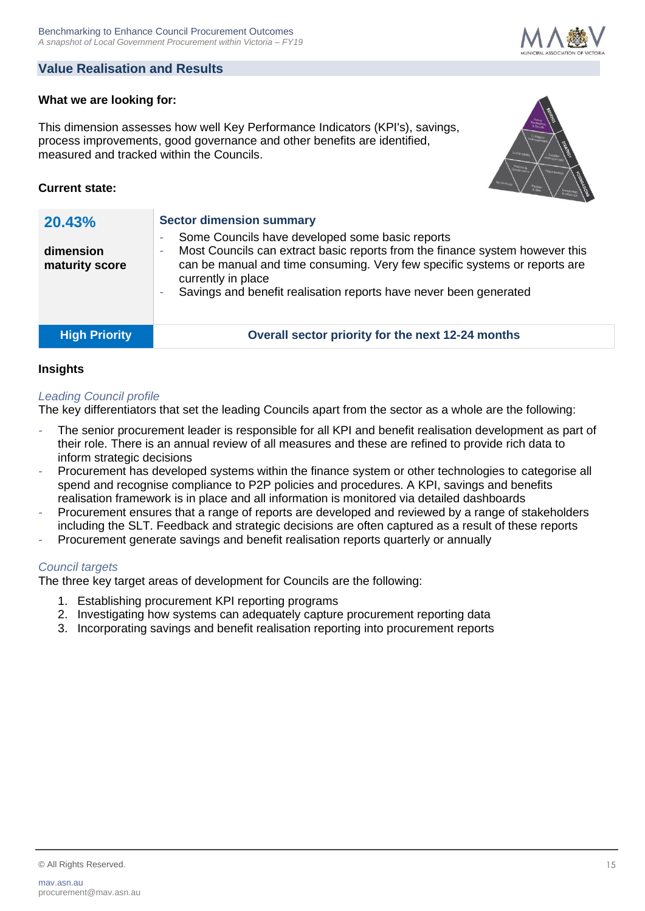# **Value Realisation and Results**

# **What we are looking for:**

This dimension assesses how well Key Performance Indicators (KPI's), savings, process improvements, good governance and other benefits are identified, measured and tracked within the Councils.

# **Current state:**

| 20.43%<br>dimension<br>maturity score | <b>Sector dimension summary</b><br>Some Councils have developed some basic reports<br>۰<br>Most Councils can extract basic reports from the finance system however this<br>٠<br>can be manual and time consuming. Very few specific systems or reports are<br>currently in place<br>Savings and benefit realisation reports have never been generated |
|---------------------------------------|-------------------------------------------------------------------------------------------------------------------------------------------------------------------------------------------------------------------------------------------------------------------------------------------------------------------------------------------------------|
| <b>High Priority</b>                  | Overall sector priority for the next 12-24 months                                                                                                                                                                                                                                                                                                     |

#### **Insights**

#### *Leading Council profile*

The key differentiators that set the leading Councils apart from the sector as a whole are the following:

- *-* The senior procurement leader is responsible for all KPI and benefit realisation development as part of their role. There is an annual review of all measures and these are refined to provide rich data to inform strategic decisions
- *-* Procurement has developed systems within the finance system or other technologies to categorise all spend and recognise compliance to P2P policies and procedures. A KPI, savings and benefits realisation framework is in place and all information is monitored via detailed dashboards
- *-* Procurement ensures that a range of reports are developed and reviewed by a range of stakeholders including the SLT. Feedback and strategic decisions are often captured as a result of these reports
- *-* Procurement generate savings and benefit realisation reports quarterly or annually

#### *Council targets*

- 1. Establishing procurement KPI reporting programs
- 2. Investigating how systems can adequately capture procurement reporting data
- 3. Incorporating savings and benefit realisation reporting into procurement reports



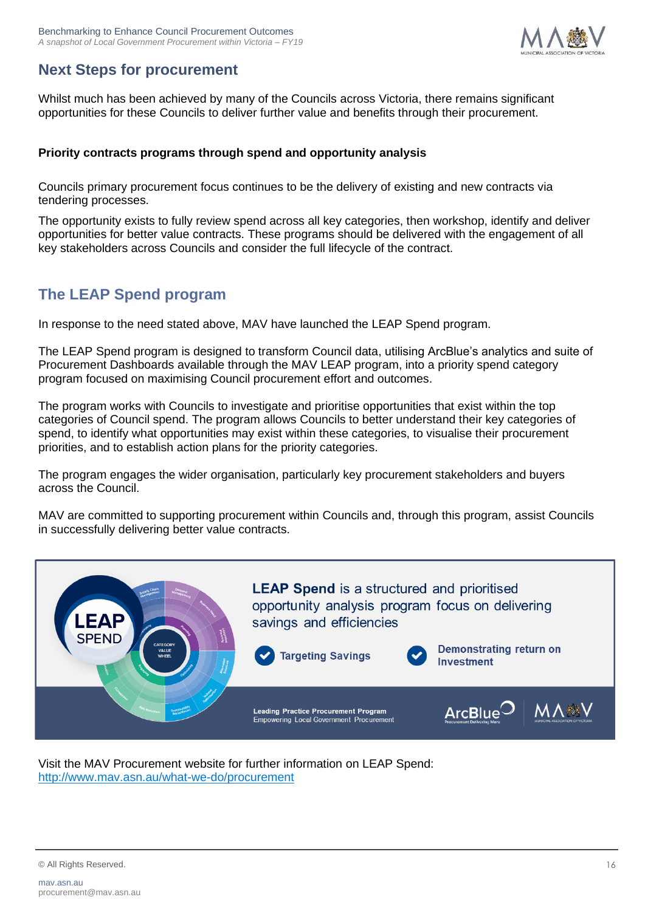

# **Next Steps for procurement**

Whilst much has been achieved by many of the Councils across Victoria, there remains significant opportunities for these Councils to deliver further value and benefits through their procurement.

#### **Priority contracts programs through spend and opportunity analysis**

Councils primary procurement focus continues to be the delivery of existing and new contracts via tendering processes.

The opportunity exists to fully review spend across all key categories, then workshop, identify and deliver opportunities for better value contracts. These programs should be delivered with the engagement of all key stakeholders across Councils and consider the full lifecycle of the contract.

# **The LEAP Spend program**

In response to the need stated above, MAV have launched the LEAP Spend program.

The LEAP Spend program is designed to transform Council data, utilising ArcBlue's analytics and suite of Procurement Dashboards available through the MAV LEAP program, into a priority spend category program focused on maximising Council procurement effort and outcomes.

The program works with Councils to investigate and prioritise opportunities that exist within the top categories of Council spend. The program allows Councils to better understand their key categories of spend, to identify what opportunities may exist within these categories, to visualise their procurement priorities, and to establish action plans for the priority categories.

The program engages the wider organisation, particularly key procurement stakeholders and buyers across the Council.

MAV are committed to supporting procurement within Councils and, through this program, assist Councils in successfully delivering better value contracts.



Visit the MAV Procurement website for further information on LEAP Spend: <http://www.mav.asn.au/what-we-do/procurement>